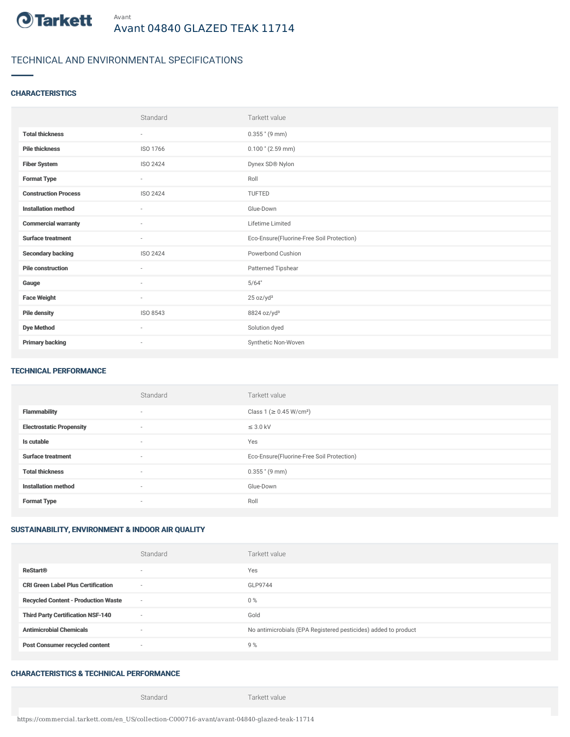

# TECHNICAL AND ENVIRONMENTAL SPECIFICATIONS

### **CHARACTERISTICS**

|                             | Standard                 | Tarkett value                             |
|-----------------------------|--------------------------|-------------------------------------------|
| <b>Total thickness</b>      | ٠                        | $0.355$ " (9 mm)                          |
| <b>Pile thickness</b>       | ISO 1766                 | $0.100$ " (2.59 mm)                       |
| <b>Fiber System</b>         | ISO 2424                 | Dynex SD® Nylon                           |
| <b>Format Type</b>          | $\overline{\phantom{a}}$ | Roll                                      |
| <b>Construction Process</b> | <b>ISO 2424</b>          | <b>TUFTED</b>                             |
| <b>Installation method</b>  | $\sim$                   | Glue-Down                                 |
| <b>Commercial warranty</b>  | ٠                        | Lifetime Limited                          |
| <b>Surface treatment</b>    | $\sim$                   | Eco-Ensure(Fluorine-Free Soil Protection) |
| <b>Secondary backing</b>    | ISO 2424                 | Powerbond Cushion                         |
| <b>Pile construction</b>    | ٠                        | Patterned Tipshear                        |
| Gauge                       | $\sim$                   | 5/64"                                     |
| <b>Face Weight</b>          | $\overline{\phantom{a}}$ | 25 oz/yd <sup>2</sup>                     |
| <b>Pile density</b>         | ISO 8543                 | 8824 oz/yd <sup>3</sup>                   |
| <b>Dye Method</b>           | $\sim$                   | Solution dyed                             |
| <b>Primary backing</b>      | $\overline{\phantom{a}}$ | Synthetic Non-Woven                       |

#### TECHNICAL PERFORMANCE

|                                 | Standard                 | Tarkett value                             |
|---------------------------------|--------------------------|-------------------------------------------|
| <b>Flammability</b>             | ۰                        | Class 1 (≥ 0.45 W/cm <sup>2</sup> )       |
| <b>Electrostatic Propensity</b> | ۰                        | $\leq$ 3.0 kV                             |
| Is cutable                      | $\overline{\phantom{a}}$ | Yes                                       |
| <b>Surface treatment</b>        | $\sim$                   | Eco-Ensure(Fluorine-Free Soil Protection) |
| <b>Total thickness</b>          | $\overline{\phantom{a}}$ | $0.355$ " (9 mm)                          |
| <b>Installation method</b>      | $\overline{\phantom{a}}$ | Glue-Down                                 |
| <b>Format Type</b>              | ۰                        | Roll                                      |

### SUSTAINABILITY, ENVIRONMENT & INDOOR AIR QUALITY

|                                            | Standard | Tarkett value                                                  |
|--------------------------------------------|----------|----------------------------------------------------------------|
| <b>ReStart®</b>                            |          | Yes                                                            |
| <b>CRI Green Label Plus Certification</b>  | $\sim$   | GLP9744                                                        |
| <b>Recycled Content - Production Waste</b> | $\sim$   | $0\%$                                                          |
| <b>Third Party Certification NSF-140</b>   | $\sim$   | Gold                                                           |
| <b>Antimicrobial Chemicals</b>             | -        | No antimicrobials (EPA Registered pesticides) added to product |
| <b>Post Consumer recycled content</b>      | $\sim$   | 9%                                                             |

## CHARACTERISTICS & TECHNICAL PERFORMANCE

Standard Tarkett value